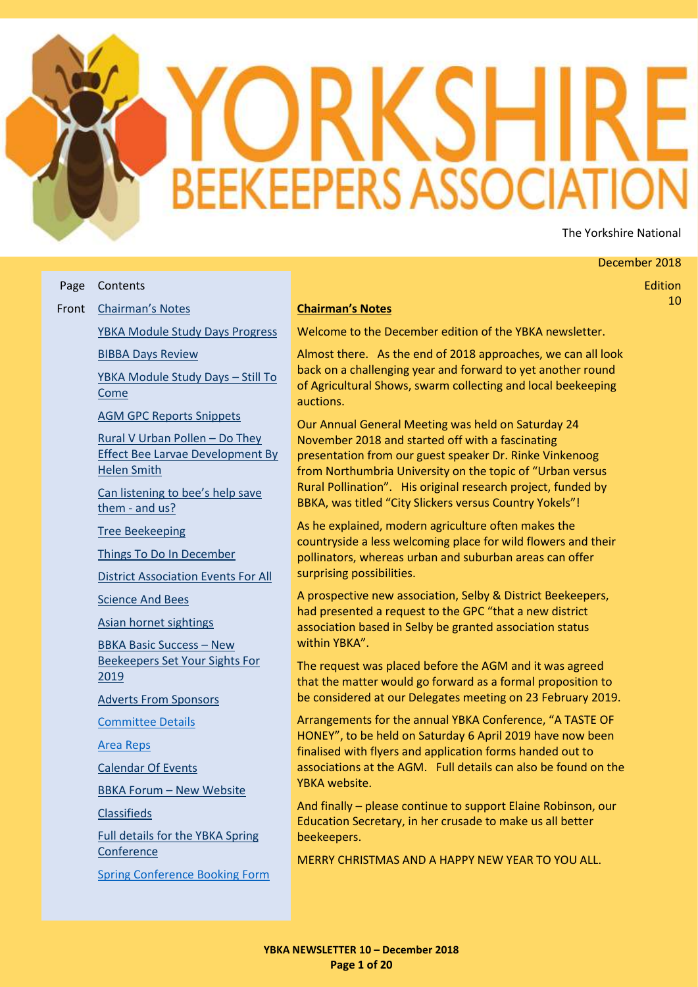# **BEEKEEPERS ASSOCI** The Yorkshire National

#### December 2018

Edition 10

#### Page Front [Chairman's Notes](#page-0-0) Contents

[YBKA Module Study Days Progress](#page-1-0)

[BIBBA Days Review](#page-1-1)

[YBKA Module Study Days](#page-2-0) – Still To [Come](#page-2-0)

[AGM GPC Reports Snippets](#page-2-1)

[Rural V Urban Pollen](#page-4-0) – Do They [Effect Bee Larvae Development By](#page-4-0)  [Helen Smith](#page-4-0)

[Can listening to bee's help save](#page-6-0)  them - [and us?](#page-6-0)

[Tree Beekeeping](#page-6-1)

[Things To Do In December](#page-6-2)

[District Association Events For All](#page-7-0)

[Science And Bees](#page-9-0)

[Asian hornet sightings](#page-10-0)

[BBKA Basic Success](#page-10-1) – New [Beekeepers Set Your Sights For](#page-10-1)  [2019](#page-10-1)

[Adverts From Sponsors](#page-11-0)

[Committee Details](#page-14-0)

[Area Reps](#page-14-1)

[Calendar Of Events](#page-15-0)

BBKA Forum – [New Website](#page-16-0)

**[Classifieds](#page-16-1)** 

[Full details for the YBKA Spring](#page-17-0)  **[Conference](#page-17-0)** 

[Spring Conference Booking Form](#page-19-0)

#### <span id="page-0-0"></span>**Chairman's Notes**

Welcome to the December edition of the YBKA newsletter.

Almost there. As the end of 2018 approaches, we can all look back on a challenging year and forward to yet another round of Agricultural Shows, swarm collecting and local beekeeping auctions.

Our Annual General Meeting was held on Saturday 24 November 2018 and started off with a fascinating presentation from our guest speaker Dr. Rinke Vinkenoog from Northumbria University on the topic of "Urban versus Rural Pollination". His original research project, funded by BBKA, was titled "City Slickers versus Country Yokels"!

As he explained, modern agriculture often makes the countryside a less welcoming place for wild flowers and their pollinators, whereas urban and suburban areas can offer surprising possibilities.

A prospective new association, Selby & District Beekeepers, had presented a request to the GPC "that a new district association based in Selby be granted association status within YBKA".

The request was placed before the AGM and it was agreed that the matter would go forward as a formal proposition to be considered at our Delegates meeting on 23 February 2019.

Arrangements for the annual YBKA Conference, "A TASTE OF HONEY", to be held on Saturday 6 April 2019 have now been finalised with flyers and application forms handed out to associations at the AGM. Full details can also be found on the YBKA website.

And finally – please continue to support Elaine Robinson, our Education Secretary, in her crusade to make us all better beekeepers.

MERRY CHRISTMAS AND A HAPPY NEW YEAR TO YOU ALL.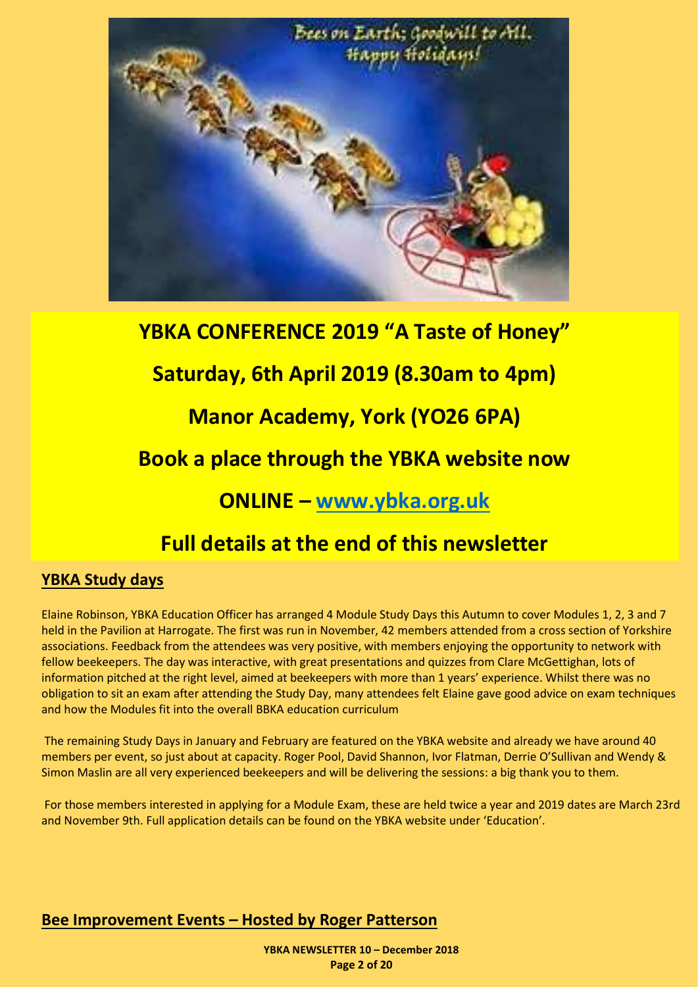

# **YBKA CONFERENCE 2019 "A Taste of Honey" Saturday, 6th April 2019 (8.30am to 4pm) Manor Academy, York (YO26 6PA) Book a place through the YBKA website now ONLINE – [www.ybka.org.uk](http://www.ybka.org.uk/)**

# **Full details at the end of this newsletter**

#### <span id="page-1-0"></span>**YBKA Study days**

Elaine Robinson, YBKA Education Officer has arranged 4 Module Study Days this Autumn to cover Modules 1, 2, 3 and 7 held in the Pavilion at Harrogate. The first was run in November, 42 members attended from a cross section of Yorkshire associations. Feedback from the attendees was very positive, with members enjoying the opportunity to network with fellow beekeepers. The day was interactive, with great presentations and quizzes from Clare McGettighan, lots of information pitched at the right level, aimed at beekeepers with more than 1 years' experience. Whilst there was no obligation to sit an exam after attending the Study Day, many attendees felt Elaine gave good advice on exam techniques and how the Modules fit into the overall BBKA education curriculum

The remaining Study Days in January and February are featured on the YBKA website and already we have around 40 members per event, so just about at capacity. Roger Pool, David Shannon, Ivor Flatman, Derrie O'Sullivan and Wendy & Simon Maslin are all very experienced beekeepers and will be delivering the sessions: a big thank you to them.

For those members interested in applying for a Module Exam, these are held twice a year and 2019 dates are March 23rd and November 9th. Full application details can be found on the YBKA website under 'Education'.

#### <span id="page-1-1"></span>**Bee Improvement Events – Hosted by Roger Patterson**

**YBKA NEWSLETTER 10 – December 2018 Page 2 of 20**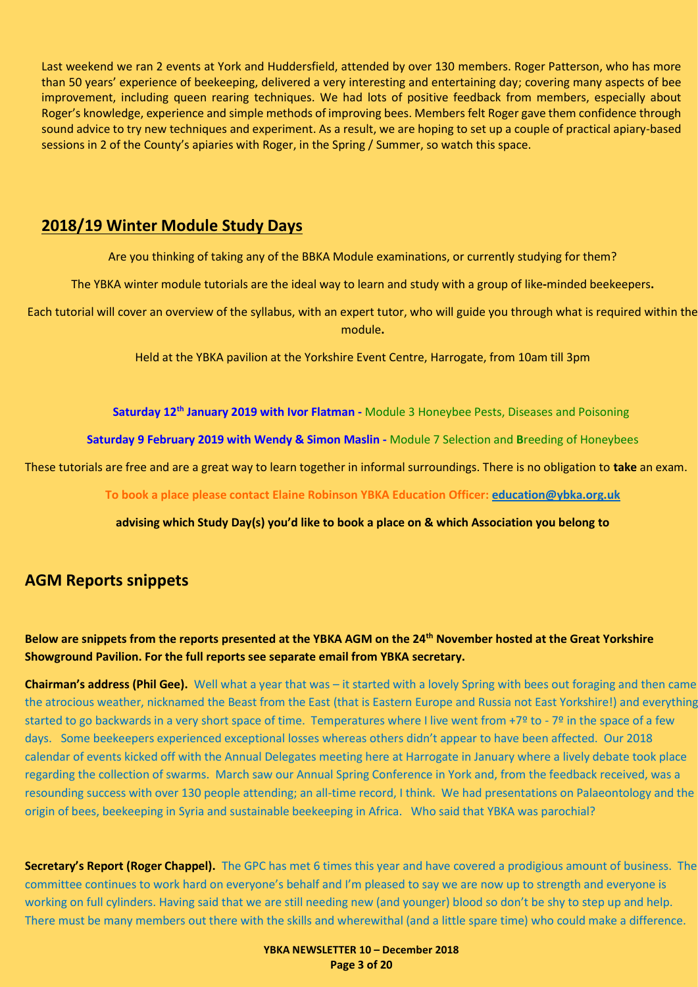Last weekend we ran 2 events at York and Huddersfield, attended by over 130 members. Roger Patterson, who has more than 50 years' experience of beekeeping, delivered a very interesting and entertaining day; covering many aspects of bee improvement, including queen rearing techniques. We had lots of positive feedback from members, especially about Roger's knowledge, experience and simple methods of improving bees. Members felt Roger gave them confidence through sound advice to try new techniques and experiment. As a result, we are hoping to set up a couple of practical apiary-based sessions in 2 of the County's apiaries with Roger, in the Spring / Summer, so watch this space.

#### <span id="page-2-0"></span>**2018/19 Winter Module Study Days**

Are you thinking of taking any of the BBKA Module examinations, or currently studying for them?

The YBKA winter module tutorials are the ideal way to learn and study with a group of like**-**minded beekeepers**.**

Each tutorial will cover an overview of the syllabus, with an expert tutor, who will guide you through what is required within the module**.**

Held at the YBKA pavilion at the Yorkshire Event Centre, Harrogate, from 10am till 3pm

**Saturday 12th January 2019 with Ivor Flatman -** Module 3 Honeybee Pests, Diseases and Poisoning

**Saturday 9 February 2019 with Wendy & Simon Maslin -** Module 7 Selection and **B**reeding of Honeybees

These tutorials are free and are a great way to learn together in informal surroundings. There is no obligation to **take** an exam.

**To book a place please contact Elaine Robinson YBKA Education Officer[: education@ybka.org.uk](mailto:education@ybka.org.uk)**

**advising which Study Day(s) you'd like to book a place on & which Association you belong to**

#### <span id="page-2-1"></span>**AGM Reports snippets**

#### **Below are snippets from the reports presented at the YBKA AGM on the 24th November hosted at the Great Yorkshire Showground Pavilion. For the full reports see separate email from YBKA secretary.**

**Chairman's address (Phil Gee).** Well what a year that was – it started with a lovely Spring with bees out foraging and then came the atrocious weather, nicknamed the Beast from the East (that is Eastern Europe and Russia not East Yorkshire!) and everything started to go backwards in a very short space of time. Temperatures where I live went from +7<sup>o</sup> to - 7<sup>o</sup> in the space of a few days. Some beekeepers experienced exceptional losses whereas others didn't appear to have been affected. Our 2018 calendar of events kicked off with the Annual Delegates meeting here at Harrogate in January where a lively debate took place regarding the collection of swarms. March saw our Annual Spring Conference in York and, from the feedback received, was a resounding success with over 130 people attending; an all-time record, I think. We had presentations on Palaeontology and the origin of bees, beekeeping in Syria and sustainable beekeeping in Africa. Who said that YBKA was parochial?

**Secretary's Report (Roger Chappel).** The GPC has met 6 times this year and have covered a prodigious amount of business. The committee continues to work hard on everyone's behalf and I'm pleased to say we are now up to strength and everyone is working on full cylinders. Having said that we are still needing new (and younger) blood so don't be shy to step up and help. There must be many members out there with the skills and wherewithal (and a little spare time) who could make a difference.

> **YBKA NEWSLETTER 10 – December 2018 Page 3 of 20**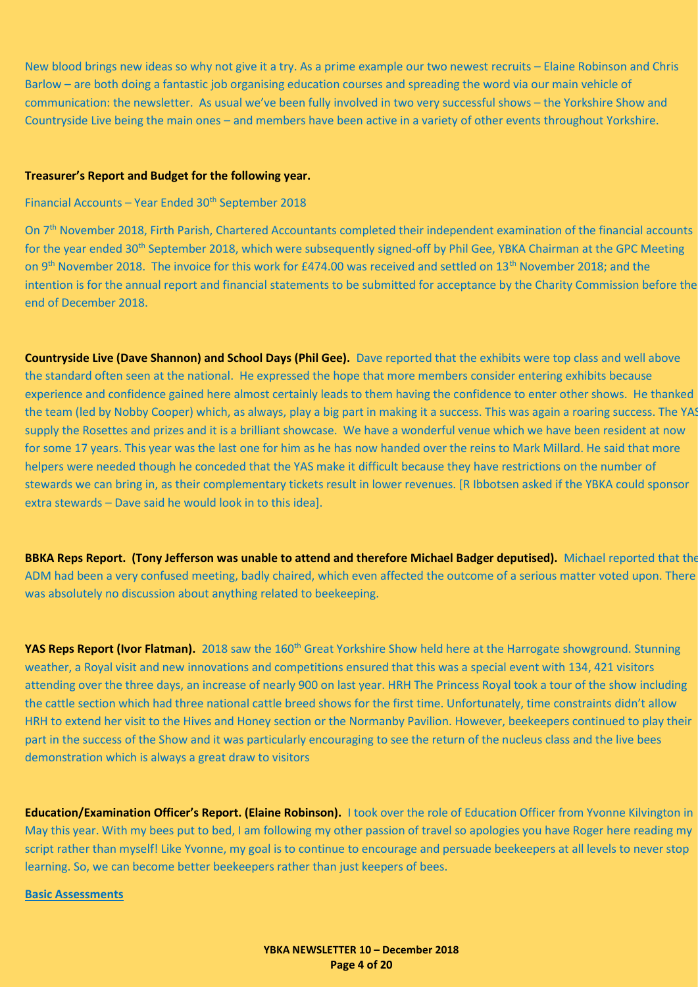New blood brings new ideas so why not give it a try. As a prime example our two newest recruits – Elaine Robinson and Chris Barlow – are both doing a fantastic job organising education courses and spreading the word via our main vehicle of communication: the newsletter. As usual we've been fully involved in two very successful shows – the Yorkshire Show and Countryside Live being the main ones – and members have been active in a variety of other events throughout Yorkshire.

#### **Treasurer's Report and Budget for the following year.**

#### Financial Accounts – Year Ended 30<sup>th</sup> September 2018

On 7th November 2018, Firth Parish, Chartered Accountants completed their independent examination of the financial accounts for the year ended 30<sup>th</sup> September 2018, which were subsequently signed-off by Phil Gee, YBKA Chairman at the GPC Meeting on 9<sup>th</sup> November 2018. The invoice for this work for £474.00 was received and settled on 13<sup>th</sup> November 2018; and the intention is for the annual report and financial statements to be submitted for acceptance by the Charity Commission before the end of December 2018.

**Countryside Live (Dave Shannon) and School Days (Phil Gee).** Dave reported that the exhibits were top class and well above the standard often seen at the national. He expressed the hope that more members consider entering exhibits because experience and confidence gained here almost certainly leads to them having the confidence to enter other shows. He thanked the team (led by Nobby Cooper) which, as always, play a big part in making it a success. This was again a roaring success. The YAS supply the Rosettes and prizes and it is a brilliant showcase. We have a wonderful venue which we have been resident at now for some 17 years. This year was the last one for him as he has now handed over the reins to Mark Millard. He said that more helpers were needed though he conceded that the YAS make it difficult because they have restrictions on the number of stewards we can bring in, as their complementary tickets result in lower revenues. [R Ibbotsen asked if the YBKA could sponsor extra stewards – Dave said he would look in to this idea].

**BBKA Reps Report. (Tony Jefferson was unable to attend and therefore Michael Badger deputised).** Michael reported that the ADM had been a very confused meeting, badly chaired, which even affected the outcome of a serious matter voted upon. There was absolutely no discussion about anything related to beekeeping.

**YAS Reps Report (Ivor Flatman).** 2018 saw the 160<sup>th</sup> Great Yorkshire Show held here at the Harrogate showground. Stunning weather, a Royal visit and new innovations and competitions ensured that this was a special event with 134, 421 visitors attending over the three days, an increase of nearly 900 on last year. HRH The Princess Royal took a tour of the show including the cattle section which had three national cattle breed shows for the first time. Unfortunately, time constraints didn't allow HRH to extend her visit to the Hives and Honey section or the Normanby Pavilion. However, beekeepers continued to play their part in the success of the Show and it was particularly encouraging to see the return of the nucleus class and the live bees demonstration which is always a great draw to visitors

**Education/Examination Officer's Report. (Elaine Robinson).** I took over the role of Education Officer from Yvonne Kilvington in May this year. With my bees put to bed, I am following my other passion of travel so apologies you have Roger here reading my script rather than myself! Like Yvonne, my goal is to continue to encourage and persuade beekeepers at all levels to never stop learning. So, we can become better beekeepers rather than just keepers of bees.

#### **Basic Assessments**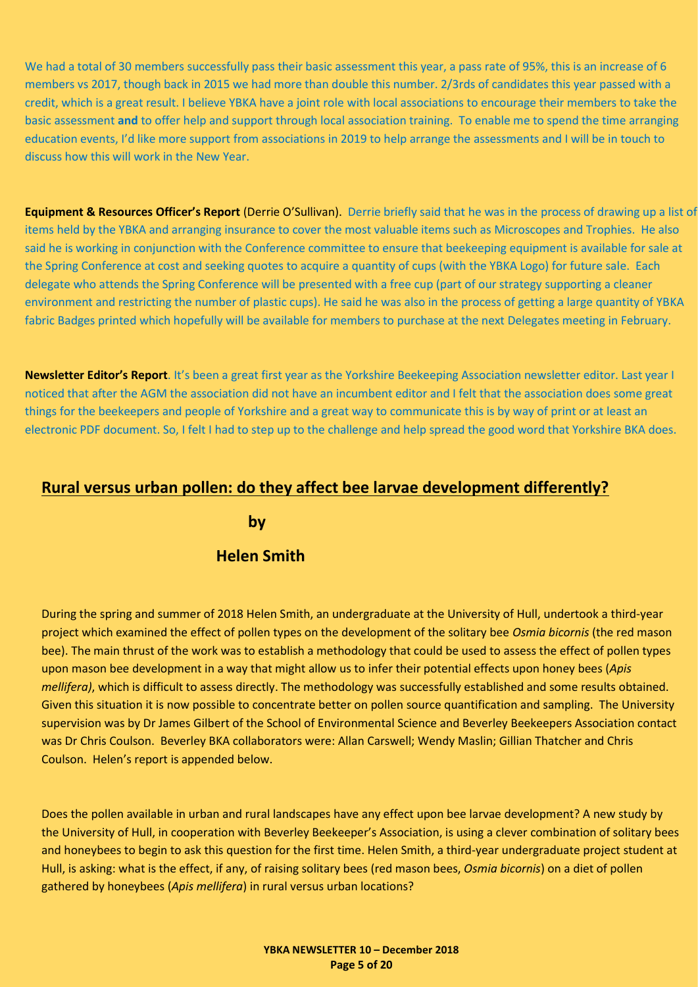We had a total of 30 members successfully pass their basic assessment this year, a pass rate of 95%, this is an increase of 6 members vs 2017, though back in 2015 we had more than double this number. 2/3rds of candidates this year passed with a credit, which is a great result. I believe YBKA have a joint role with local associations to encourage their members to take the basic assessment **and** to offer help and support through local association training. To enable me to spend the time arranging education events, I'd like more support from associations in 2019 to help arrange the assessments and I will be in touch to discuss how this will work in the New Year.

**Equipment & Resources Officer's Report** (Derrie O'Sullivan). Derrie briefly said that he was in the process of drawing up a list of items held by the YBKA and arranging insurance to cover the most valuable items such as Microscopes and Trophies. He also said he is working in conjunction with the Conference committee to ensure that beekeeping equipment is available for sale at the Spring Conference at cost and seeking quotes to acquire a quantity of cups (with the YBKA Logo) for future sale. Each delegate who attends the Spring Conference will be presented with a free cup (part of our strategy supporting a cleaner environment and restricting the number of plastic cups). He said he was also in the process of getting a large quantity of YBKA fabric Badges printed which hopefully will be available for members to purchase at the next Delegates meeting in February.

**Newsletter Editor's Report**. It's been a great first year as the Yorkshire Beekeeping Association newsletter editor. Last year I noticed that after the AGM the association did not have an incumbent editor and I felt that the association does some great things for the beekeepers and people of Yorkshire and a great way to communicate this is by way of print or at least an electronic PDF document. So, I felt I had to step up to the challenge and help spread the good word that Yorkshire BKA does.

#### <span id="page-4-0"></span>**Rural versus urban pollen: do they affect bee larvae development differently?**

**by**

#### **Helen Smith**

During the spring and summer of 2018 Helen Smith, an undergraduate at the University of Hull, undertook a third-year project which examined the effect of pollen types on the development of the solitary bee *Osmia bicornis* (the red mason bee). The main thrust of the work was to establish a methodology that could be used to assess the effect of pollen types upon mason bee development in a way that might allow us to infer their potential effects upon honey bees (*Apis mellifera)*, which is difficult to assess directly. The methodology was successfully established and some results obtained. Given this situation it is now possible to concentrate better on pollen source quantification and sampling. The University supervision was by Dr James Gilbert of the School of Environmental Science and Beverley Beekeepers Association contact was Dr Chris Coulson. Beverley BKA collaborators were: Allan Carswell; Wendy Maslin; Gillian Thatcher and Chris Coulson. Helen's report is appended below.

Does the pollen available in urban and rural landscapes have any effect upon bee larvae development? A new study by the University of Hull, in cooperation with Beverley Beekeeper's Association, is using a clever combination of solitary bees and honeybees to begin to ask this question for the first time. Helen Smith, a third-year undergraduate project student at Hull, is asking: what is the effect, if any, of raising solitary bees (red mason bees, *Osmia bicornis*) on a diet of pollen gathered by honeybees (*Apis mellifera*) in rural versus urban locations?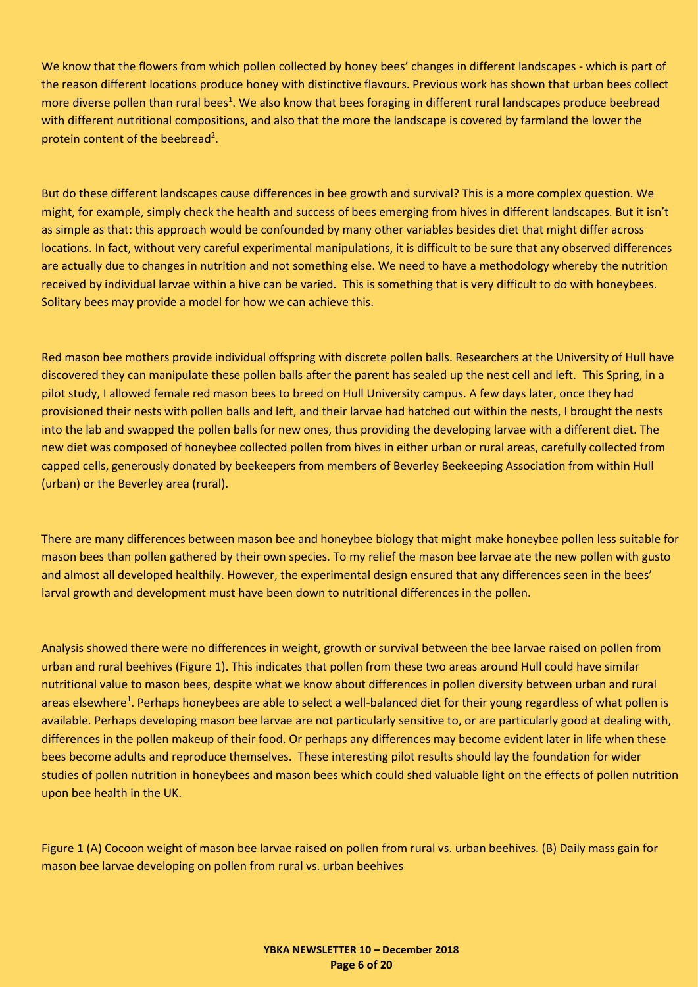We know that the flowers from which pollen collected by honey bees' changes in different landscapes - which is part of the reason different locations produce honey with distinctive flavours. Previous work has shown that urban bees collect more diverse pollen than rural bees<sup>1</sup>. We also know that bees foraging in different rural landscapes produce beebread with different nutritional compositions, and also that the more the landscape is covered by farmland the lower the protein content of the beebread<sup>2</sup>.

But do these different landscapes cause differences in bee growth and survival? This is a more complex question. We might, for example, simply check the health and success of bees emerging from hives in different landscapes. But it isn't as simple as that: this approach would be confounded by many other variables besides diet that might differ across locations. In fact, without very careful experimental manipulations, it is difficult to be sure that any observed differences are actually due to changes in nutrition and not something else. We need to have a methodology whereby the nutrition received by individual larvae within a hive can be varied. This is something that is very difficult to do with honeybees. Solitary bees may provide a model for how we can achieve this.

Red mason bee mothers provide individual offspring with discrete pollen balls. Researchers at the University of Hull have discovered they can manipulate these pollen balls after the parent has sealed up the nest cell and left. This Spring, in a pilot study, I allowed female red mason bees to breed on Hull University campus. A few days later, once they had provisioned their nests with pollen balls and left, and their larvae had hatched out within the nests, I brought the nests into the lab and swapped the pollen balls for new ones, thus providing the developing larvae with a different diet. The new diet was composed of honeybee collected pollen from hives in either urban or rural areas, carefully collected from capped cells, generously donated by beekeepers from members of Beverley Beekeeping Association from within Hull (urban) or the Beverley area (rural).

There are many differences between mason bee and honeybee biology that might make honeybee pollen less suitable for mason bees than pollen gathered by their own species. To my relief the mason bee larvae ate the new pollen with gusto and almost all developed healthily. However, the experimental design ensured that any differences seen in the bees' larval growth and development must have been down to nutritional differences in the pollen.

Analysis showed there were no differences in weight, growth or survival between the bee larvae raised on pollen from urban and rural beehives (Figure 1). This indicates that pollen from these two areas around Hull could have similar nutritional value to mason bees, despite what we know about differences in pollen diversity between urban and rural areas elsewhere<sup>1</sup>. Perhaps honeybees are able to select a well-balanced diet for their young regardless of what pollen is available. Perhaps developing mason bee larvae are not particularly sensitive to, or are particularly good at dealing with, differences in the pollen makeup of their food. Or perhaps any differences may become evident later in life when these bees become adults and reproduce themselves. These interesting pilot results should lay the foundation for wider studies of pollen nutrition in honeybees and mason bees which could shed valuable light on the effects of pollen nutrition upon bee health in the UK.

Figure 1 (A) Cocoon weight of mason bee larvae raised on pollen from rural vs. urban beehives. (B) Daily mass gain for mason bee larvae developing on pollen from rural vs. urban beehives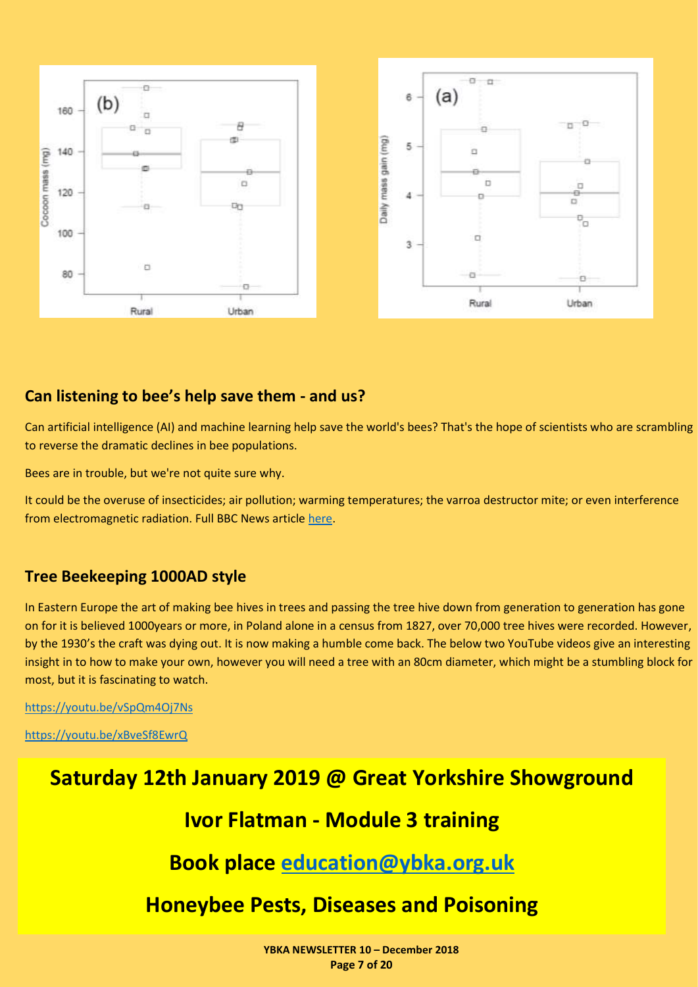

#### <span id="page-6-0"></span>**Can listening to bee's help save them - and us?**

Can artificial intelligence (AI) and machine learning help save the world's bees? That's the hope of scientists who are scrambling to reverse the dramatic declines in bee populations.

Bees are in trouble, but we're not quite sure why.

It could be the overuse of insecticides; air pollution; warming temperatures; the varroa destructor mite; or even interference from electromagnetic radiation. Full BBC News article [here.](https://www.bbc.co.uk/news/business-46131255)

#### <span id="page-6-1"></span>**Tree Beekeeping 1000AD style**

In Eastern Europe the art of making bee hives in trees and passing the tree hive down from generation to generation has gone on for it is believed 1000years or more, in Poland alone in a census from 1827, over 70,000 tree hives were recorded. However, by the 1930's the craft was dying out. It is now making a humble come back. The below two YouTube videos give an interesting insight in to how to make your own, however you will need a tree with an 80cm diameter, which might be a stumbling block for most, but it is fascinating to watch.

<https://youtu.be/vSpQm4Oj7Ns>

<https://youtu.be/xBveSf8EwrQ>

# **Saturday 12th January 2019 @ Great Yorkshire Showground**

## **Ivor Flatman - Module 3 training**

**Book place [education@ybka.org.uk](file:///C:/Users/user/AppData/Local/Packages/microsoft.windowscommunicationsapps_8wekyb3d8bbwe/LocalState/Files/S0/23065/education@ybka.org.uk)**

## <span id="page-6-2"></span>**Honeybee Pests, Diseases and Poisoning**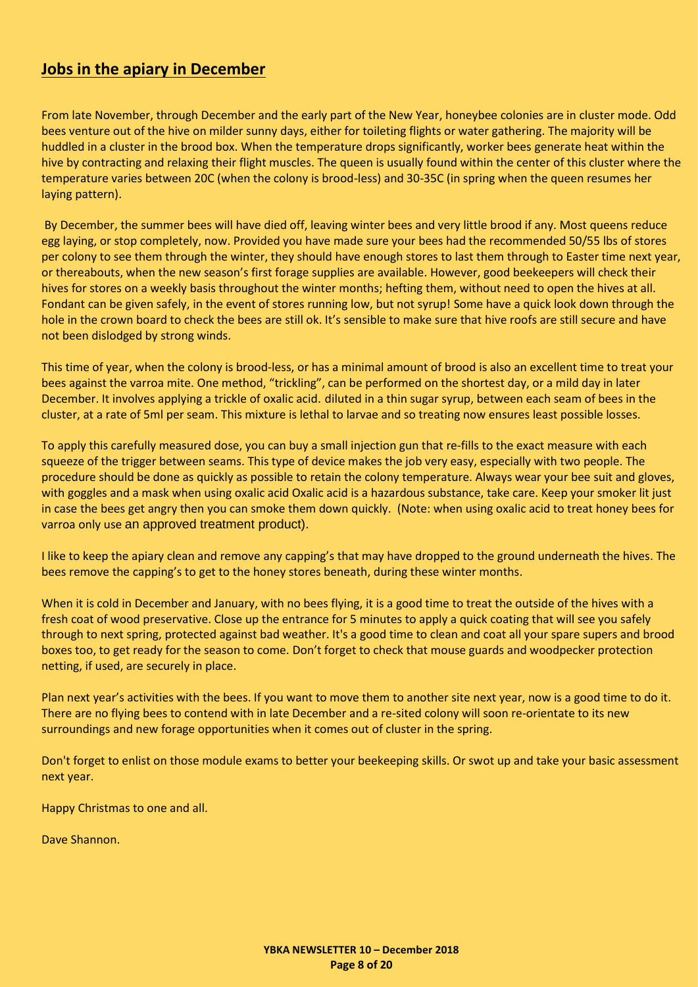#### **Jobs in the apiary in December**

From late November, through December and the early part of the New Year, honeybee colonies are in cluster mode. Odd bees venture out of the hive on milder sunny days, either for toileting flights or water gathering. The majority will be huddled in a cluster in the brood box. When the temperature drops significantly, worker bees generate heat within the hive by contracting and relaxing their flight muscles. The queen is usually found within the center of this cluster where the temperature varies between 20C (when the colony is brood-less) and 30-35C (in spring when the queen resumes her laying pattern).

By December, the summer bees will have died off, leaving winter bees and very little brood if any. Most queens reduce egg laying, or stop completely, now. Provided you have made sure your bees had the recommended 50/55 lbs of stores per colony to see them through the winter, they should have enough stores to last them through to Easter time next year, or thereabouts, when the new season's first forage supplies are available. However, good beekeepers will check their hives for stores on a weekly basis throughout the winter months; hefting them, without need to open the hives at all. Fondant can be given safely, in the event of stores running low, but not syrup! Some have a quick look down through the hole in the crown board to check the bees are still ok. It's sensible to make sure that hive roofs are still secure and have not been dislodged by strong winds.

This time of year, when the colony is brood-less, or has a minimal amount of brood is also an excellent time to treat your bees against the varroa mite. One method, "trickling", can be performed on the shortest day, or a mild day in later December. It involves applying a trickle of oxalic acid. diluted in a thin sugar syrup, between each seam of bees in the cluster, at a rate of 5ml per seam. This mixture is lethal to larvae and so treating now ensures least possible losses.

To apply this carefully measured dose, you can buy a small injection gun that re-fills to the exact measure with each squeeze of the trigger between seams. This type of device makes the job very easy, especially with two people. The procedure should be done as quickly as possible to retain the colony temperature. Always wear your bee suit and gloves, with goggles and a mask when using oxalic acid Oxalic acid is a hazardous substance, take care. Keep your smoker lit just in case the bees get angry then you can smoke them down quickly. (Note: when using oxalic acid to treat honey bees for varroa only use an approved treatment product).

I like to keep the apiary clean and remove any capping's that may have dropped to the ground underneath the hives. The bees remove the capping's to get to the honey stores beneath, during these winter months.

When it is cold in December and January, with no bees flying, it is a good time to treat the outside of the hives with a fresh coat of wood preservative. Close up the entrance for 5 minutes to apply a quick coating that will see you safely through to next spring, protected against bad weather. It's a good time to clean and coat all your spare supers and brood boxes too, to get ready for the season to come. Don't forget to check that mouse guards and woodpecker protection netting, if used, are securely in place.

Plan next year's activities with the bees. If you want to move them to another site next year, now is a good time to do it. There are no flying bees to contend with in late December and a re-sited colony will soon re-orientate to its new surroundings and new forage opportunities when it comes out of cluster in the spring.

Don't forget to enlist on those module exams to better your beekeeping skills. Or swot up and take your basic assessment next year.

Happy Christmas to one and all.

<span id="page-7-0"></span>Dave Shannon.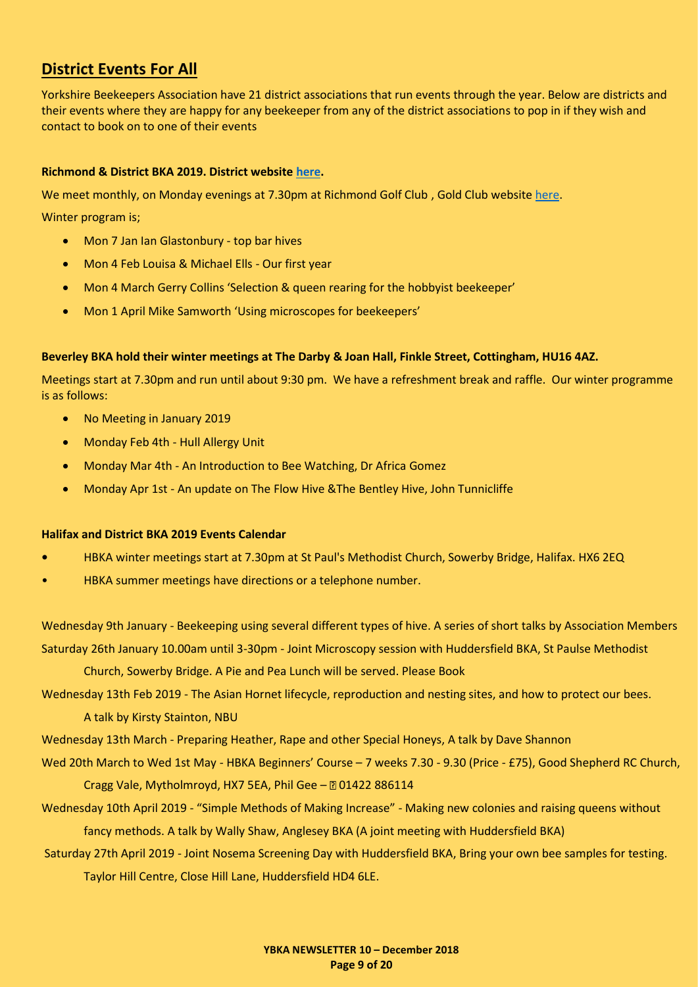#### **District Events For All**

Yorkshire Beekeepers Association have 21 district associations that run events through the year. Below are districts and their events where they are happy for any beekeeper from any of the district associations to pop in if they wish and contact to book on to one of their events

#### **Richmond & District BKA 2019. District websit[e here.](http://richmondbeekeepers.co.uk/)**

We meet monthly, on Monday evenings at 7.30pm at Richmond Golf Club , Gold Club websit[e here.](http://www.richmondyorksgolfclub.co.uk/)

Winter program is;

- Mon 7 Jan Ian Glastonbury top bar hives
- Mon 4 Feb Louisa & Michael Ells Our first year
- Mon 4 March Gerry Collins 'Selection & queen rearing for the hobbyist beekeeper'
- Mon 1 April Mike Samworth 'Using microscopes for beekeepers'

#### **Beverley BKA hold their winter meetings at The Darby & Joan Hall, Finkle Street, Cottingham, HU16 4AZ.**

Meetings start at 7.30pm and run until about 9:30 pm. We have a refreshment break and raffle. Our winter programme is as follows:

- No Meeting in January 2019
- Monday Feb 4th Hull Allergy Unit
- Monday Mar 4th An Introduction to Bee Watching, Dr Africa Gomez
- Monday Apr 1st An update on The Flow Hive &The Bentley Hive, John Tunnicliffe

#### **Halifax and District BKA 2019 Events Calendar**

- **•** HBKA winter meetings start at 7.30pm at St Paul's Methodist Church, Sowerby Bridge, Halifax. HX6 2EQ
- HBKA summer meetings have directions or a telephone number.

Wednesday 9th January - Beekeeping using several different types of hive. A series of short talks by Association Members Saturday 26th January 10.00am until 3-30pm - Joint Microscopy session with Huddersfield BKA, St Paulse Methodist

Church, Sowerby Bridge. A Pie and Pea Lunch will be served. Please Book

Wednesday 13th Feb 2019 - The Asian Hornet lifecycle, reproduction and nesting sites, and how to protect our bees.

A talk by Kirsty Stainton, NBU

Wednesday 13th March - Preparing Heather, Rape and other Special Honeys, A talk by Dave Shannon

Wed 20th March to Wed 1st May - HBKA Beginners' Course – 7 weeks 7.30 - 9.30 (Price - £75), Good Shepherd RC Church, Cragg Vale, Mytholmroyd, HX7 5EA, Phil Gee - 0 01422 886114

Wednesday 10th April 2019 - "Simple Methods of Making Increase" - Making new colonies and raising queens without fancy methods. A talk by Wally Shaw, Anglesey BKA (A joint meeting with Huddersfield BKA)

Saturday 27th April 2019 - Joint Nosema Screening Day with Huddersfield BKA, Bring your own bee samples for testing. Taylor Hill Centre, Close Hill Lane, Huddersfield HD4 6LE.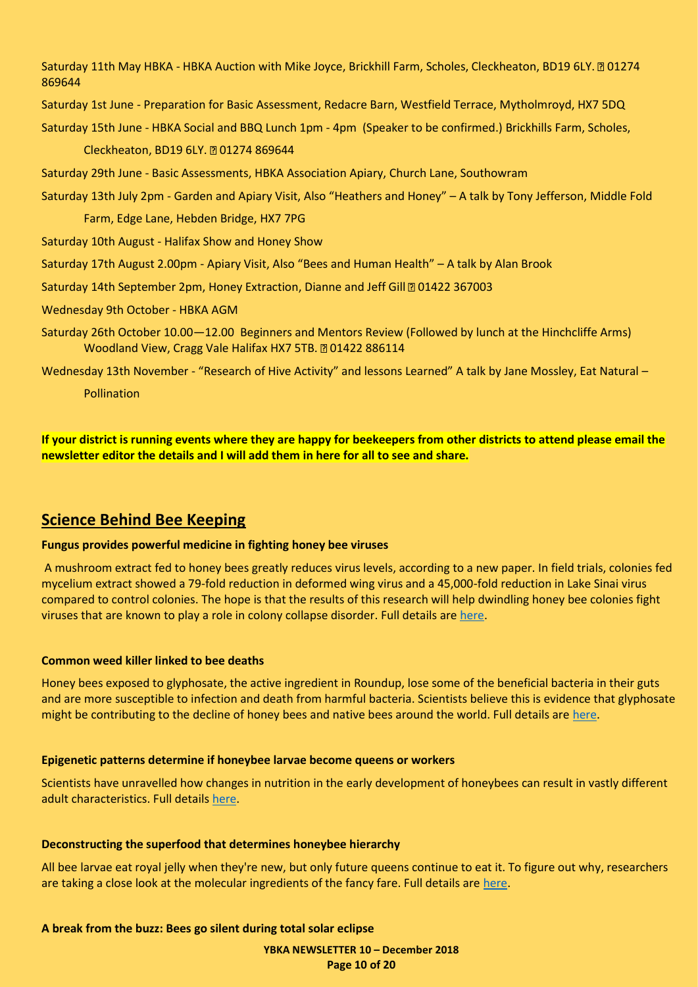Saturday 11th May HBKA - HBKA Auction with Mike Joyce, Brickhill Farm, Scholes, Cleckheaton, BD19 6LY. 201274 869644

Saturday 1st June - Preparation for Basic Assessment, Redacre Barn, Westfield Terrace, Mytholmroyd, HX7 5DQ

Saturday 15th June - HBKA Social and BBQ Lunch 1pm - 4pm (Speaker to be confirmed.) Brickhills Farm, Scholes,

Cleckheaton, BD19 6LY. 201274 869644

Saturday 29th June - Basic Assessments, HBKA Association Apiary, Church Lane, Southowram

Saturday 13th July 2pm - Garden and Apiary Visit, Also "Heathers and Honey" – A talk by Tony Jefferson, Middle Fold

Farm, Edge Lane, Hebden Bridge, HX7 7PG

Saturday 10th August - Halifax Show and Honey Show

Saturday 17th August 2.00pm - Apiary Visit, Also "Bees and Human Health" – A talk by Alan Brook

Saturday 14th September 2pm, Honey Extraction, Dianne and Jeff Gill @ 01422 367003

Wednesday 9th October - HBKA AGM

Saturday 26th October 10.00—12.00 Beginners and Mentors Review (Followed by lunch at the Hinchcliffe Arms) Woodland View, Cragg Vale Halifax HX7 5TB. 201422 886114

Wednesday 13th November - "Research of Hive Activity" and lessons Learned" A talk by Jane Mossley, Eat Natural -Pollination

**If your district is running events where they are happy for beekeepers from other districts to attend please email the newsletter editor the details and I will add them in here for all to see and share.**

#### <span id="page-9-0"></span>**Science Behind Bee Keeping**

#### **Fungus provides powerful medicine in fighting honey bee viruses**

A mushroom extract fed to honey bees greatly reduces virus levels, according to a new paper. In field trials, colonies fed mycelium extract showed a 79-fold reduction in deformed wing virus and a 45,000-fold reduction in Lake Sinai virus compared to control colonies. The hope is that the results of this research will help dwindling honey bee colonies fight viruses that are known to play a role in colony collapse disorder. Full details are [here.](https://www.sciencedaily.com/releases/2018/10/181004100044.htm)

#### **Common weed killer linked to bee deaths**

Honey bees exposed to glyphosate, the active ingredient in Roundup, lose some of the beneficial bacteria in their guts and are more susceptible to infection and death from harmful bacteria. Scientists believe this is evidence that glyphosate might be contributing to the decline of honey bees and native bees around the world. Full details are [here.](https://www.sciencedaily.com/releases/2018/09/180924174506.htm)

#### **Epigenetic patterns determine if honeybee larvae become queens or workers**

Scientists have unravelled how changes in nutrition in the early development of honeybees can result in vastly different adult characteristics. Full details [here.](https://www.sciencedaily.com/releases/2018/08/180822130958.htm)

#### **Deconstructing the superfood that determines honeybee hierarchy**

All bee larvae eat royal jelly when they're new, but only future queens continue to eat it. To figure out why, researchers are taking a close look at the molecular ingredients of the fancy fare. Full details are [here.](https://www.sciencedaily.com/releases/2018/10/181029150928.htm)

**A break from the buzz: Bees go silent during total solar eclipse**

**YBKA NEWSLETTER 10 – December 2018 Page 10 of 20**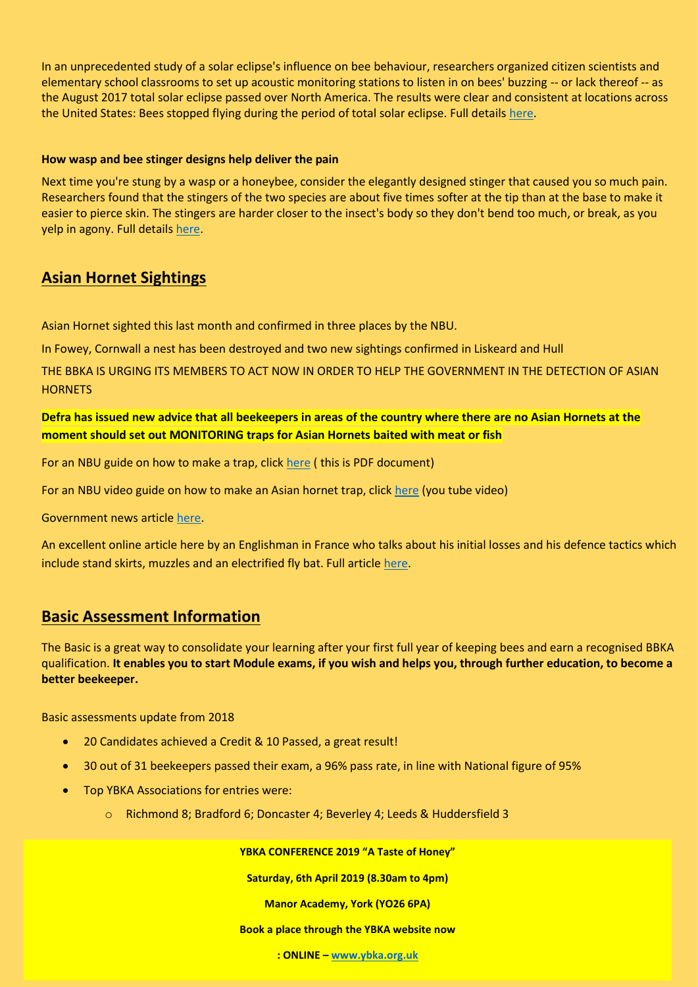In an unprecedented study of a solar eclipse's influence on bee behaviour, researchers organized citizen scientists and elementary school classrooms to set up acoustic monitoring stations to listen in on bees' buzzing -- or lack thereof -- as the August 2017 total solar eclipse passed over North America. The results were clear and consistent at locations across the United States: Bees stopped flying during the period of total solar eclipse. Full details [here.](https://www.sciencedaily.com/releases/2018/10/181010105542.htm)

#### **How wasp and bee stinger designs help deliver the pain**

Next time you're stung by a wasp or a honeybee, consider the elegantly designed stinger that caused you so much pain. Researchers found that the stingers of the two species are about five times softer at the tip than at the base to make it easier to pierce skin. The stingers are harder closer to the insect's body so they don't bend too much, or break, as you yelp in agony. Full details [here.](https://www.sciencedaily.com/releases/2018/10/181009102420.htm)

#### <span id="page-10-0"></span>**Asian Hornet Sightings**

Asian Hornet sighted this last month and confirmed in three places by the NBU.

In Fowey, Cornwall a nest has been destroyed and two new sightings confirmed in Liskeard and Hull

THE BBKA IS URGING ITS MEMBERS TO ACT NOW IN ORDER TO HELP THE GOVERNMENT IN THE DETECTION OF ASIAN **HORNETS** 

#### **Defra has issued new advice that all beekeepers in areas of the country where there are no Asian Hornets at the moment should set out MONITORING traps for Asian Hornets baited with meat or fish**

For an NBU guide on how to make a trap, click [here](https://www.google.com/url?sa=t&rct=j&q=&esrc=s&source=web&cd=1&cad=rja&uact=8&ved=2ahUKEwjEvYmAn7HdAhVrCcAKHdi_D7AQFjAAegQIBBAC&url=http%3A%2F%2Fwww.nationalbeeunit.com%2FdownloadNews.cfm%3Fid%3D122&usg=AOvVaw0ZVUl_44a9NFNMCOk4gHHN) ( this is PDF document)

For an NBU video guide on how to make an Asian hornet trap, click [here](https://www.youtube.com/watch?v=CR6MUekAjMo) (you tube video)

Government news article [here.](https://www.gov.uk/government/news/asian-hornet-fowey-nest-destroyed-as-two-new-sightings-confirmed-in-liskeard-and-hull)

An excellent online article here by an Englishman in France who talks about his initial losses and his defence tactics which include stand skirts, muzzles and an electrified fly bat. Full article [here.](https://honeybeesuite.com/beekeeping-with-asian-hornets/)

#### <span id="page-10-1"></span>**Basic Assessment Information**

The Basic is a great way to consolidate your learning after your first full year of keeping bees and earn a recognised BBKA qualification. **It enables you to start Module exams, if you wish and helps you, through further education, to become a better beekeeper.**

Basic assessments update from 2018

- 20 Candidates achieved a Credit & 10 Passed, a great result!
- 30 out of 31 beekeepers passed their exam, a 96% pass rate, in line with National figure of 95%
- Top YBKA Associations for entries were:
	- o Richmond 8; Bradford 6; Doncaster 4; Beverley 4; Leeds & Huddersfield 3

**YBKA CONFERENCE 2019 "A Taste of Honey"**

**Saturday, 6th April 2019 (8.30am to 4pm)** 

**Manor Academy, York (YO26 6PA)**

#### **Book a place through the YBKA website now**

**YBKA NEWSLETTER 10 – December 2018 : ONLINE – [www.ybka.org.uk](http://www.ybka.org.uk/) Page 11 of 20**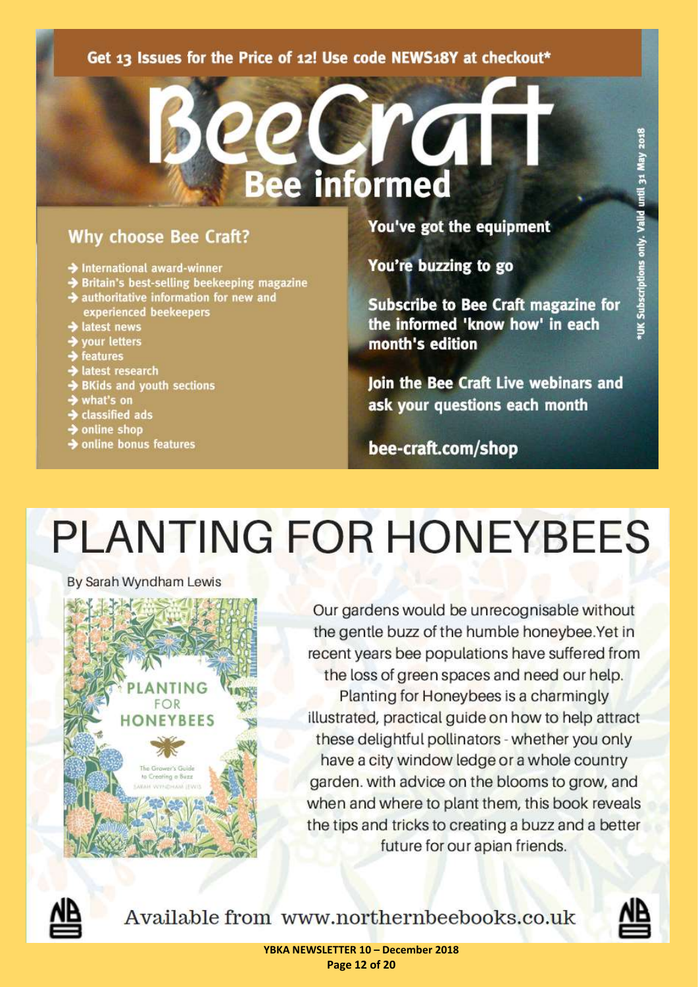#### <span id="page-11-0"></span>Get 13 Issues for the Price of 12! Use code NEWS18Y at checkout\*

ee

### **Why choose Bee Craft?**

- $\rightarrow$  International award-winner
- Britain's best-selling beekeeping magazine
- $\rightarrow$  authoritative information for new and
- experienced beekeepers latest news
- your letters
- **→** features
- Hatest research
- $\rightarrow$  BKids and youth sections
- what's on
- classified ads
- $\rightarrow$  online shop
- $\rightarrow$  online bonus features

You've got the equipment

You're buzzing to go

**informed** 

**Subscribe to Bee Craft magazine for** the informed 'know how' in each month's edition

**Join the Bee Craft Live webinars and** ask your questions each month

bee-craft.com/shop

# **PLANTING FOR HONEYBEES**

By Sarah Wyndham Lewis



Our gardens would be unrecognisable without the gentle buzz of the humble honeybee.Yet in recent years bee populations have suffered from the loss of green spaces and need our help. Planting for Honeybees is a charmingly illustrated, practical guide on how to help attract these delightful pollinators - whether you only have a city window ledge or a whole country garden. with advice on the blooms to grow, and when and where to plant them, this book reveals the tips and tricks to creating a buzz and a better future for our apian friends.



Available from www.northernbeebooks.co.uk

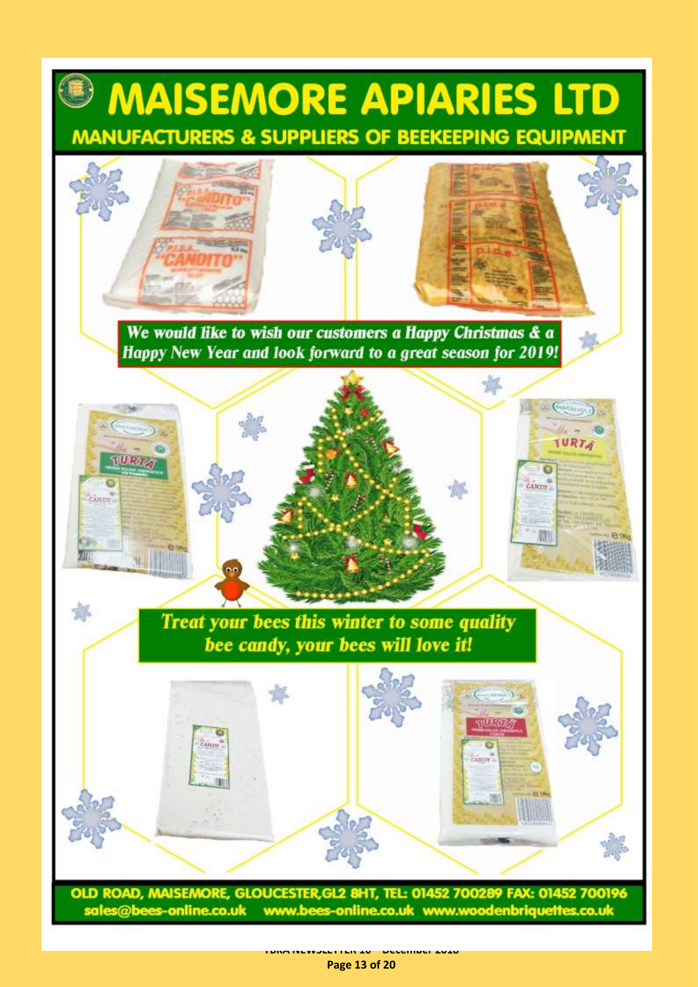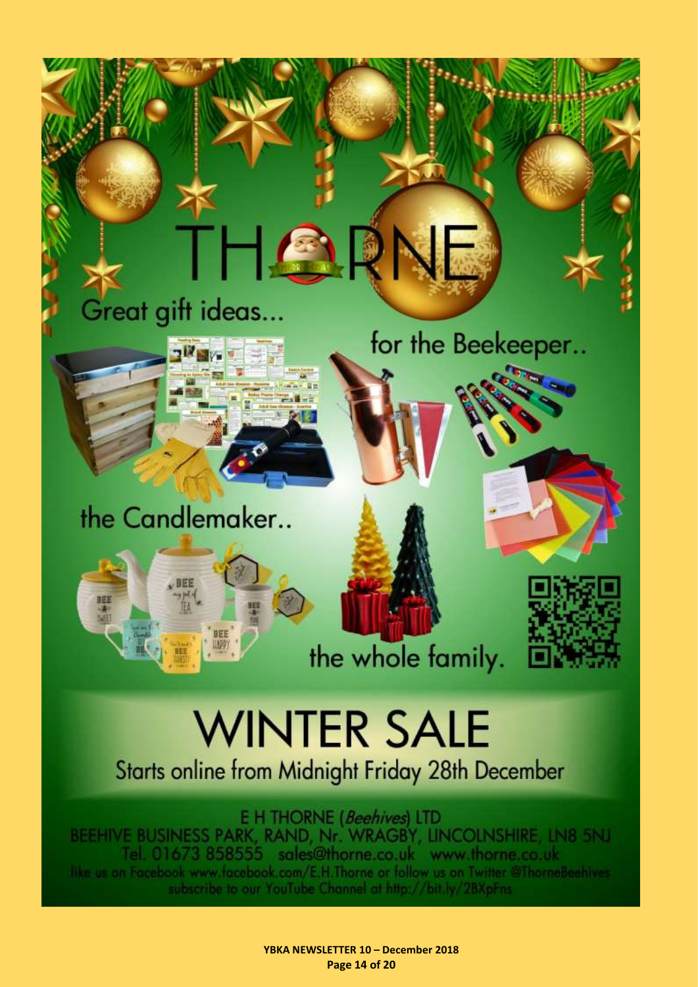# Great gift ideas...

A

**A** 

for the Beekeeper..

the Candlemaker..



the whole family.



# **WINTER SALE**

Starts online from Midnight Friday 28th December

E H THORNE (Beehives) LTD BEEHIVE BUSINESS PARK, RAND, Nr. WRAGBY, LINCOLNSHIRE, LN8 5NJ Tel. 01673 858555 sales@thorne.co.uk www.thorne.co.uk like us on Facebook www.facebook.com/E.H.Thorne or follow us on Twitter @ThorneBeehives subscribe to our YouTube Channel at http://bit.ly/2BXpFns.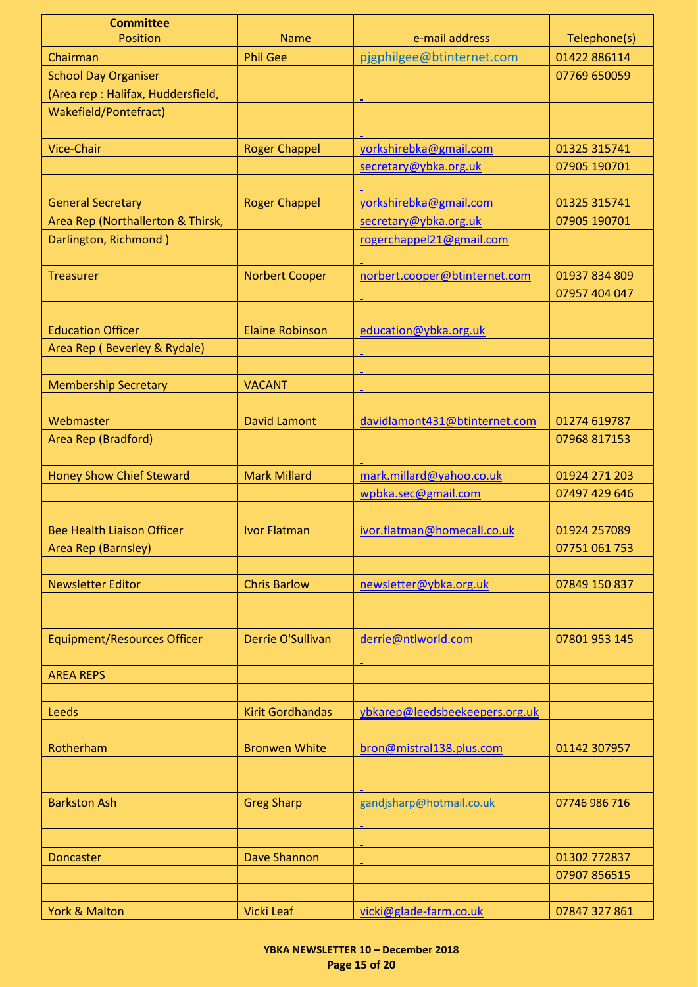<span id="page-14-1"></span><span id="page-14-0"></span>

| <b>Committee</b>                   |                         |                                |               |
|------------------------------------|-------------------------|--------------------------------|---------------|
| <b>Position</b>                    | <b>Name</b>             | e-mail address                 | Telephone(s)  |
| Chairman                           | <b>Phil Gee</b>         | pjgphilgee@btinternet.com      | 01422 886114  |
| <b>School Day Organiser</b>        |                         |                                | 07769 650059  |
| (Area rep: Halifax, Huddersfield,  |                         |                                |               |
| Wakefield/Pontefract)              |                         |                                |               |
|                                    |                         |                                |               |
| <b>Vice-Chair</b>                  | <b>Roger Chappel</b>    | yorkshirebka@gmail.com         | 01325 315741  |
|                                    |                         | secretary@ybka.org.uk          | 07905 190701  |
|                                    |                         |                                |               |
| <b>General Secretary</b>           | <b>Roger Chappel</b>    | yorkshirebka@gmail.com         | 01325 315741  |
| Area Rep (Northallerton & Thirsk,  |                         | secretary@ybka.org.uk          | 07905 190701  |
| Darlington, Richmond)              |                         | rogerchappel21@gmail.com       |               |
|                                    |                         |                                |               |
| <b>Treasurer</b>                   | <b>Norbert Cooper</b>   | norbert.cooper@btinternet.com  | 01937 834 809 |
|                                    |                         |                                | 07957 404 047 |
|                                    |                         |                                |               |
| <b>Education Officer</b>           | <b>Elaine Robinson</b>  | education@ybka.org.uk          |               |
| Area Rep (Beverley & Rydale)       |                         |                                |               |
|                                    |                         |                                |               |
| <b>Membership Secretary</b>        | <b>VACANT</b>           |                                |               |
|                                    |                         |                                |               |
| Webmaster                          | <b>David Lamont</b>     | davidlamont431@btinternet.com  | 01274 619787  |
| Area Rep (Bradford)                |                         |                                | 07968 817153  |
|                                    |                         |                                |               |
| <b>Honey Show Chief Steward</b>    | <b>Mark Millard</b>     | mark.millard@yahoo.co.uk       | 01924 271 203 |
|                                    |                         | wpbka.sec@gmail.com            | 07497 429 646 |
|                                    |                         |                                |               |
| <b>Bee Health Liaison Officer</b>  | <b>Ivor Flatman</b>     | ivor.flatman@homecall.co.uk    | 01924 257089  |
| Area Rep (Barnsley)                |                         |                                | 07751 061 753 |
|                                    |                         |                                |               |
|                                    |                         |                                |               |
| <b>Newsletter Editor</b>           | <b>Chris Barlow</b>     | newsletter@ybka.org.uk         | 07849 150 837 |
|                                    |                         |                                |               |
|                                    |                         |                                |               |
| <b>Equipment/Resources Officer</b> | Derrie O'Sullivan       | derrie@ntlworld.com            | 07801 953 145 |
|                                    |                         |                                |               |
| <b>AREA REPS</b>                   |                         |                                |               |
|                                    |                         |                                |               |
| <b>Leeds</b>                       | <b>Kirit Gordhandas</b> | ybkarep@leedsbeekeepers.org.uk |               |
|                                    |                         |                                |               |
| Rotherham                          | <b>Bronwen White</b>    | bron@mistral138.plus.com       | 01142 307957  |
|                                    |                         |                                |               |
|                                    |                         |                                |               |
| <b>Barkston Ash</b>                | <b>Greg Sharp</b>       | gandjsharp@hotmail.co.uk       | 07746 986 716 |
|                                    |                         |                                |               |
|                                    |                         |                                |               |
| <b>Doncaster</b>                   | Dave Shannon            |                                | 01302 772837  |
|                                    |                         |                                | 07907 856515  |
|                                    |                         |                                |               |
| York & Malton                      | <b>Vicki Leaf</b>       | vicki@glade-farm.co.uk         | 07847 327 861 |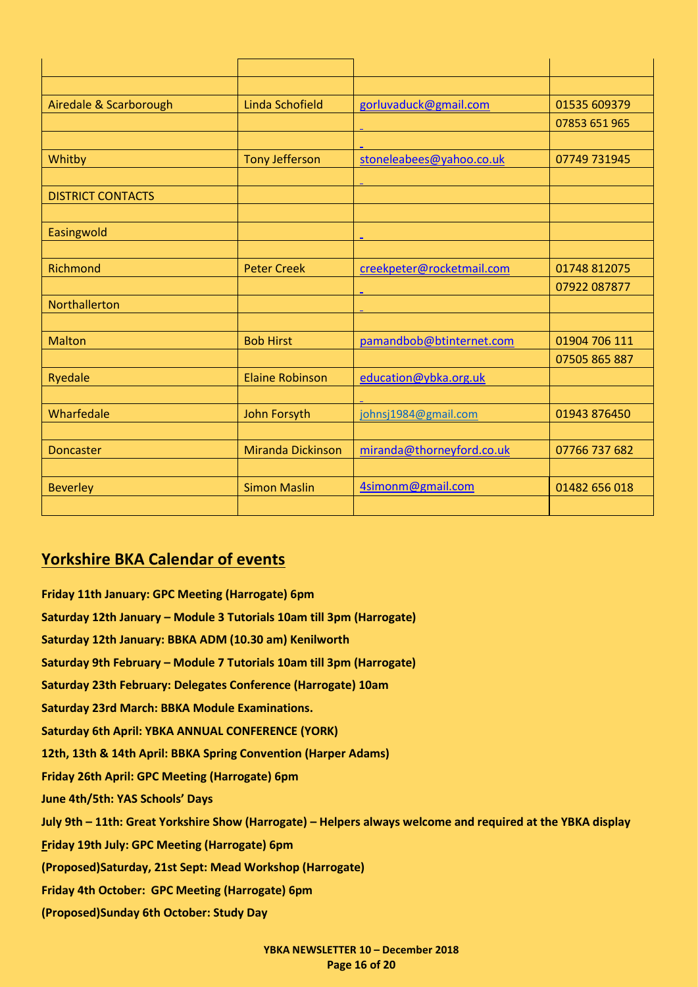| Airedale & Scarborough   | Linda Schofield          | gorluvaduck@gmail.com     | 01535 609379  |
|--------------------------|--------------------------|---------------------------|---------------|
|                          |                          |                           | 07853 651 965 |
|                          |                          |                           |               |
| Whitby                   | <b>Tony Jefferson</b>    | stoneleabees@yahoo.co.uk  | 07749 731945  |
|                          |                          |                           |               |
| <b>DISTRICT CONTACTS</b> |                          |                           |               |
|                          |                          |                           |               |
| Easingwold               |                          |                           |               |
|                          |                          |                           |               |
| Richmond                 | <b>Peter Creek</b>       | creekpeter@rocketmail.com | 01748 812075  |
|                          |                          |                           | 07922 087877  |
| Northallerton            |                          |                           |               |
|                          |                          |                           |               |
| <b>Malton</b>            | <b>Bob Hirst</b>         | pamandbob@btinternet.com  | 01904 706 111 |
|                          |                          |                           | 07505 865 887 |
| Ryedale                  | <b>Elaine Robinson</b>   | education@ybka.org.uk     |               |
|                          |                          |                           |               |
| Wharfedale               | <b>John Forsyth</b>      | johnsj1984@gmail.com      | 01943 876450  |
|                          |                          |                           |               |
| <b>Doncaster</b>         | <b>Miranda Dickinson</b> | miranda@thorneyford.co.uk | 07766 737 682 |
|                          |                          |                           |               |
| <b>Beverley</b>          | <b>Simon Maslin</b>      | 4simonm@gmail.com         | 01482 656 018 |
|                          |                          |                           |               |

#### <span id="page-15-0"></span>**Yorkshire BKA Calendar of events**

**Friday 11th January: GPC Meeting (Harrogate) 6pm Saturday 12th January – Module 3 Tutorials 10am till 3pm (Harrogate) Saturday 12th January: BBKA ADM (10.30 am) Kenilworth Saturday 9th February – Module 7 Tutorials 10am till 3pm (Harrogate) Saturday 23th February: Delegates Conference (Harrogate) 10am Saturday 23rd March: BBKA Module Examinations. Saturday 6th April: YBKA ANNUAL CONFERENCE (YORK) 12th, 13th & 14th April: BBKA Spring Convention (Harper Adams) Friday 26th April: GPC Meeting (Harrogate) 6pm June 4th/5th: YAS Schools' Days July 9th – 11th: Great Yorkshire Show (Harrogate) – Helpers always welcome and required at the YBKA display Friday 19th July: GPC Meeting (Harrogate) 6pm (Proposed)Saturday, 21st Sept: Mead Workshop (Harrogate) Friday 4th October: GPC Meeting (Harrogate) 6pm (Proposed)Sunday 6th October: Study Day**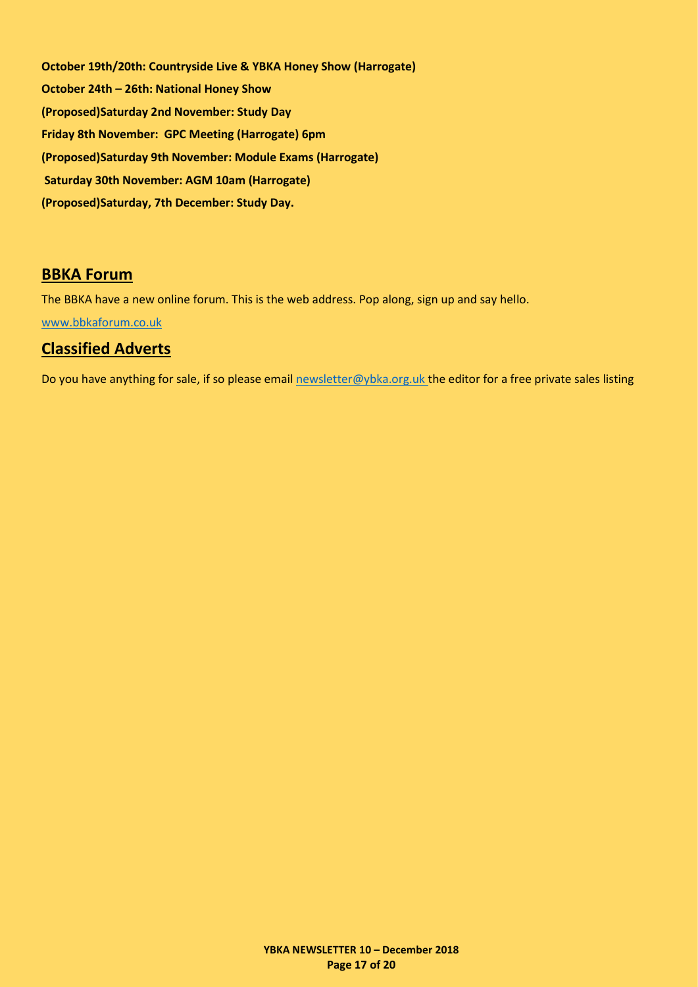**October 19th/20th: Countryside Live & YBKA Honey Show (Harrogate) October 24th – 26th: National Honey Show (Proposed)Saturday 2nd November: Study Day Friday 8th November: GPC Meeting (Harrogate) 6pm (Proposed)Saturday 9th November: Module Exams (Harrogate) Saturday 30th November: AGM 10am (Harrogate) (Proposed)Saturday, 7th December: Study Day.**

#### <span id="page-16-0"></span>**BBKA Forum**

The BBKA have a new online forum. This is the web address. Pop along, sign up and say hello.

[www.bbkaforum.co.uk](http://www.bbkaforum.co.uk/)

#### <span id="page-16-1"></span>**Classified Adverts**

Do you have anything for sale, if so please emai[l newsletter@ybka.org.uk](mailto:newsletter@ybka.org.uk) the editor for a free private sales listing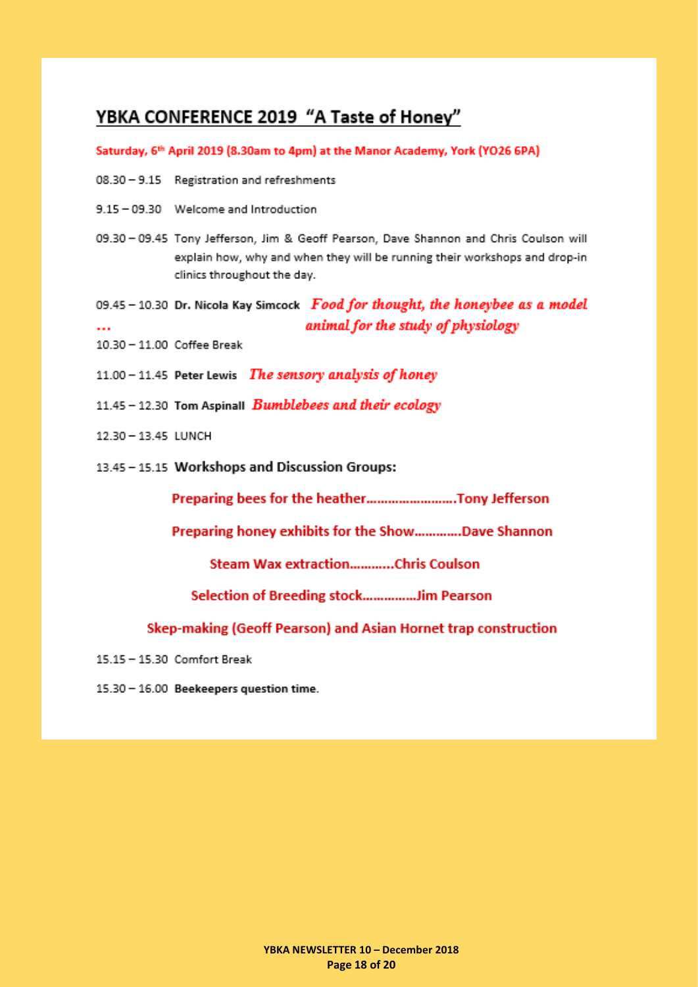## <span id="page-17-0"></span>YBKA CONFERENCE 2019 "A Taste of Honey"

Saturday, 6th April 2019 (8.30am to 4pm) at the Manor Academy, York (YO26 6PA)

- 08.30 9.15 Registration and refreshments
- 9.15 09.30 Welcome and Introduction
- 09.30 09.45 Tony Jefferson, Jim & Geoff Pearson, Dave Shannon and Chris Coulson will explain how, why and when they will be running their workshops and drop-in clinics throughout the day.
- 09.45 10.30 Dr. Nicola Kay Simcock Food for thought, the honeybee as a model animal for the study of physiology  $\ddotsc$
- 10.30 11.00 Coffee Break
- 11.00 11.45 Peter Lewis The sensory analysis of honey
- 11.45 12.30 Tom Aspinall **Bumblebees and their ecology**
- 12.30 13.45 LUNCH
- 13.45 15.15 Workshops and Discussion Groups:

Preparing bees for the heather..........................Tony Jefferson

Preparing honey exhibits for the Show.............Dave Shannon

Steam Wax extraction............Chris Coulson

Selection of Breeding stock...............Jim Pearson

Skep-making (Geoff Pearson) and Asian Hornet trap construction

- 15.15 15.30 Comfort Break
- 15.30 16.00 Beekeepers question time.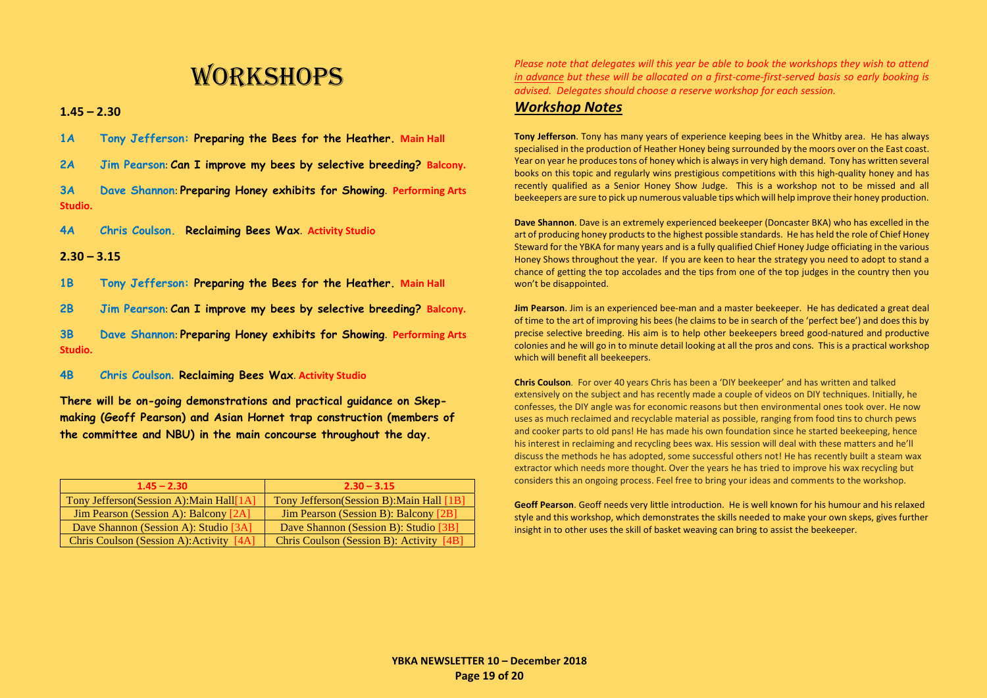# **WORKSHOPS**

**1.45 – 2.30**

- **1A Tony Jefferson: Preparing the Bees for the Heather. Main Hall**
- **2A Jim Pearson**: **Can I improve my bees by selective breeding? Balcony.**
- **3A Dave Shannon**: **Preparing Honey exhibits for Showing**. **Performing Arts Studio.**
- **4A Chris Coulson. Reclaiming Bees Wax**. **Activity Studio**

#### **2.30 – 3.15**

- **1B Tony Jefferson: Preparing the Bees for the Heather. Main Hall**
- **2B Jim Pearson**: **Can I improve my bees by selective breeding? Balcony.**
- **3B Dave Shannon**: **Preparing Honey exhibits for Showing**. **Performing Arts Studio.**
- **4B Chris Coulson. Reclaiming Bees Wax**. **Activity Studio**
- **There will be on-going demonstrations and practical guidance on Skepmaking (Geoff Pearson) and Asian Hornet trap construction (members of the committee and NBU) in the main concourse throughout the day.**

| $1.45 - 2.30$                                | $2.30 - 3.15$                             |
|----------------------------------------------|-------------------------------------------|
| Tony Jefferson(Session A): Main Hall[1A]     | Tony Jefferson(Session B): Main Hall [1B] |
| <b>Jim Pearson (Session A): Balcony [2A]</b> | Jim Pearson (Session B): Balcony [2B]     |
| Dave Shannon (Session A): Studio [3A]        | Dave Shannon (Session B): Studio [3B]     |
| Chris Coulson (Session A): Activity [4A]     | Chris Coulson (Session B): Activity [4B]  |

*Please note that delegates will this year be able to book the workshops they wish to attend in advance but these will be allocated on a first-come-first-served basis so early booking is advised. Delegates should choose a reserve workshop for each session.*

#### *Workshop Notes*

**Tony Jefferson**. Tony has many years of experience keeping bees in the Whitby area. He has always specialised in the production of Heather Honey being surrounded by the moors over on the East coast. Year on year he produces tons of honey which is always in very high demand. Tony has written several books on this topic and regularly wins prestigious competitions with this high-quality honey and has recently qualified as a Senior Honey Show Judge. This is a workshop not to be missed and all beekeepers are sure to pick up numerous valuable tips which will help improve their honey production.

**Dave Shannon**. Dave is an extremely experienced beekeeper (Doncaster BKA) who has excelled in the art of producing honey products to the highest possible standards. He has held the role of Chief Honey Steward for the YBKA for many years and is a fully qualified Chief Honey Judge officiating in the various Honey Shows throughout the year. If you are keen to hear the strategy you need to adopt to stand a chance of getting the top accolades and the tips from one of the top judges in the country then you won't be disappointed.

**Jim Pearson**. Jim is an experienced bee-man and a master beekeeper. He has dedicated a great deal of time to the art of improving his bees (he claims to be in search of the 'perfect bee') and does this by precise selective breeding. His aim is to help other beekeepers breed good-natured and productive colonies and he will go in to minute detail looking at all the pros and cons. This is a practical workshop which will benefit all beekeepers.

**Chris Coulson**. For over 40 years Chris has been a 'DIY beekeeper' and has written and talked extensively on the subject and has recently made a couple of videos on DIY techniques. Initially, he confesses, the DIY angle was for economic reasons but then environmental ones took over. He now uses as much reclaimed and recyclable material as possible, ranging from food tins to church pews and cooker parts to old pans! He has made his own foundation since he started beekeeping, hence his interest in reclaiming and recycling bees wax. His session will deal with these matters and he'll discuss the methods he has adopted, some successful others not! He has recently built a steam wax extractor which needs more thought. Over the years he has tried to improve his wax recycling but considers this an ongoing process. Feel free to bring your ideas and comments to the workshop.

**Geoff Pearson**. Geoff needs very little introduction. He is well known for his humour and his relaxed style and this workshop, which demonstrates the skills needed to make your own skeps, gives further insight in to other uses the skill of basket weaving can bring to assist the beekeeper.